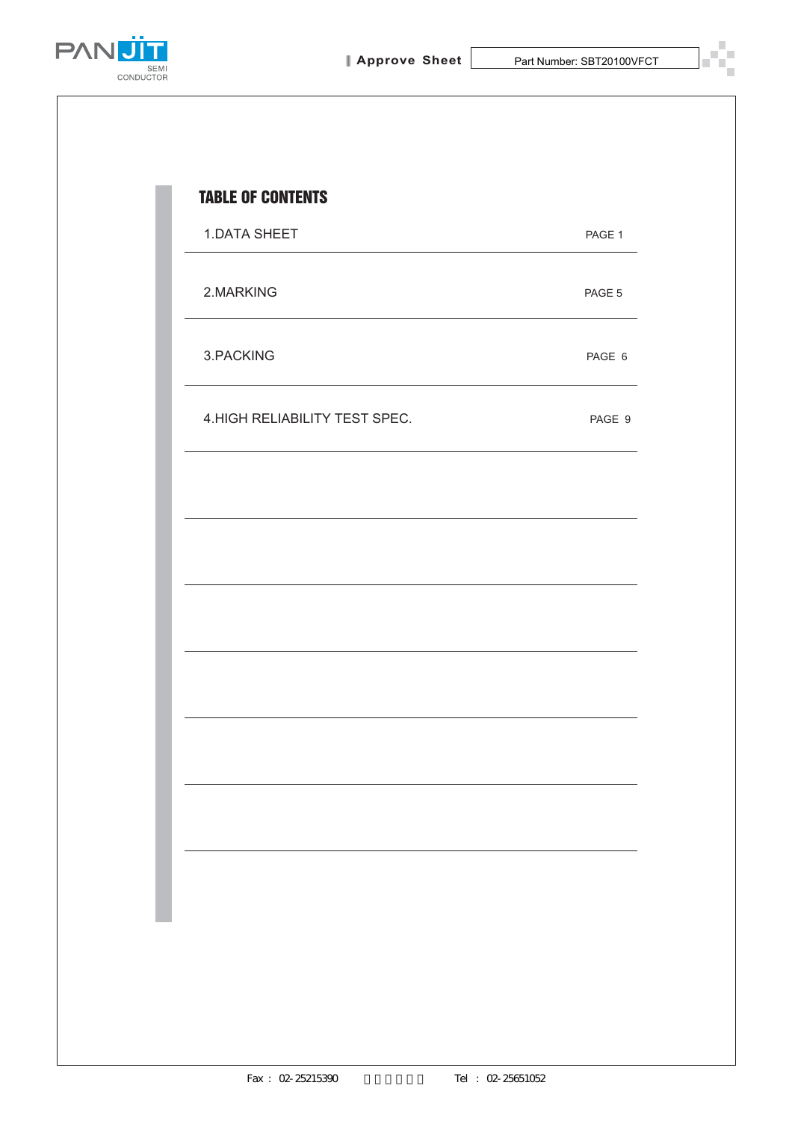

T.



| <b>1.DATA SHEET</b>            | PAGE 1 |
|--------------------------------|--------|
| 2.MARKING                      | PAGE 5 |
| 3.PACKING                      | PAGE 6 |
| 4. HIGH RELIABILITY TEST SPEC. | PAGE 9 |
|                                |        |
|                                |        |
|                                |        |
|                                |        |
|                                |        |
|                                |        |
|                                |        |
|                                |        |
|                                |        |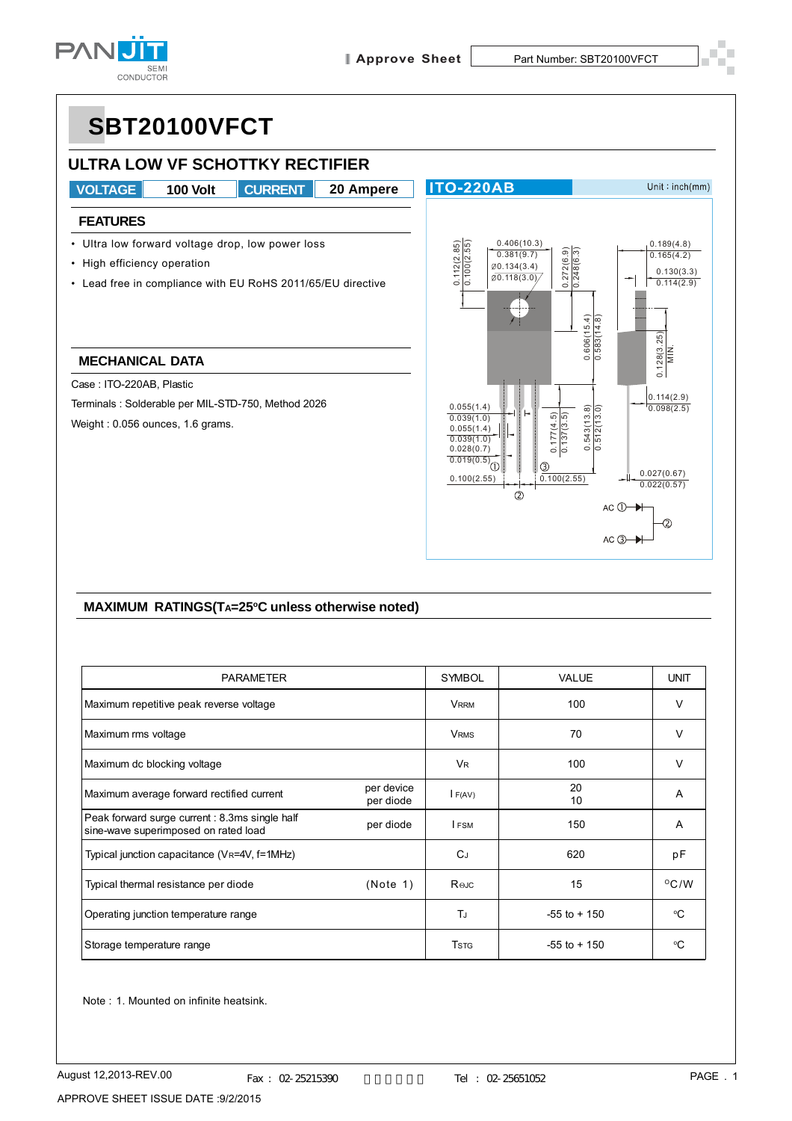

 $AC$   $\rightarrow$ 

## **SBT20100VFCT**



#### **MAXIMUM RATINGS(TA=25°C unless otherwise noted)**

| <b>PARAMETER</b>                                                                       |                         | <b>SYMBOL</b>        | VALUE           | <b>UNIT</b>    |
|----------------------------------------------------------------------------------------|-------------------------|----------------------|-----------------|----------------|
| Maximum repetitive peak reverse voltage                                                |                         | <b>VRRM</b>          | 100             | V              |
| Maximum rms voltage                                                                    |                         | <b>VRMS</b>          | 70              | V              |
| Maximum dc blocking voltage                                                            |                         | <b>V<sub>R</sub></b> | 100             | V              |
| Maximum average forward rectified current                                              | per device<br>per diode | F(AV)                | 20<br>10        | A              |
| Peak forward surge current : 8.3ms single half<br>sine-wave superimposed on rated load | per diode               | <b>IFSM</b>          | 150             | A              |
| Typical junction capacitance (VR=4V, f=1MHz)                                           |                         | $C_J$                | 620             | pF             |
| Typical thermal resistance per diode                                                   | (Note 1)                | Rejc                 | 15              | $\rm ^{O}C$ /W |
| Operating junction temperature range                                                   |                         | TJ                   | $-55$ to $+150$ | °C             |
| Storage temperature range                                                              |                         | <b>T</b> stg         | $-55$ to $+150$ | °C             |

Note : 1. Mounted on infinite heatsink.

APPROVE SHEET ISSUE DATE :9/2/2015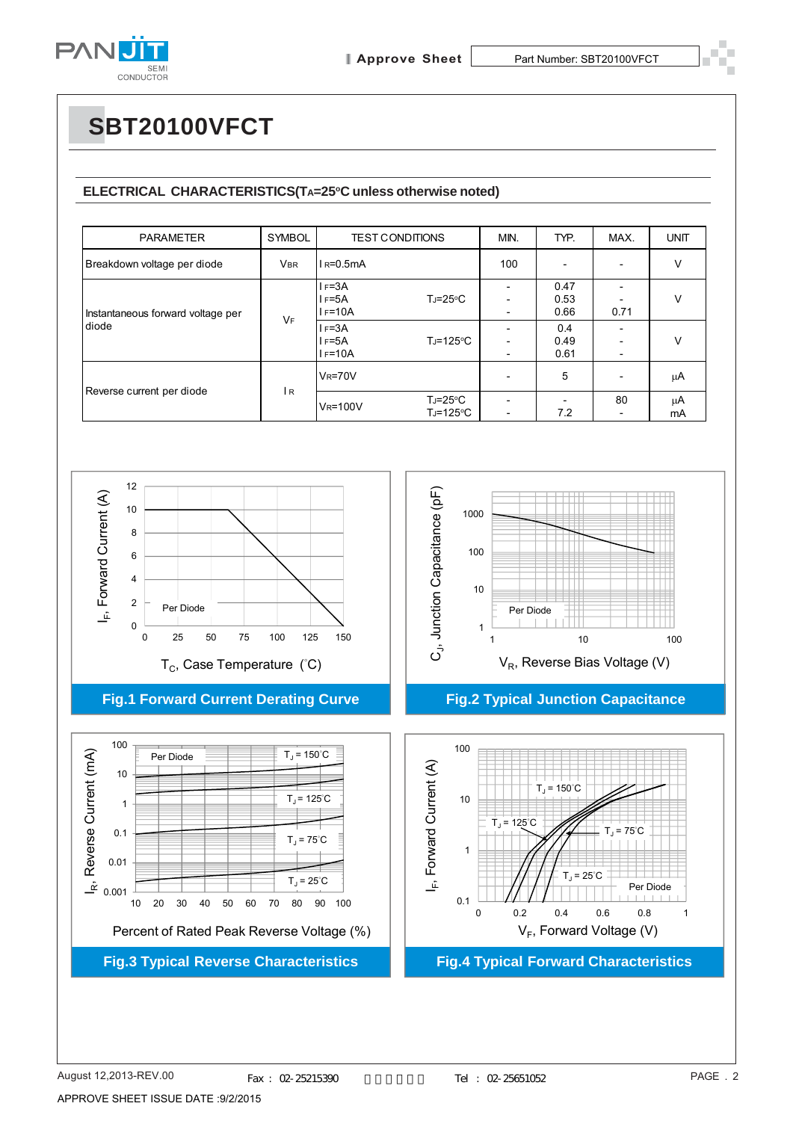

# **SBT20100VFCT**

#### ELECTRICAL CHARACTERISTICS(TA=25°C unless otherwise noted)

| <b>PARAMETER</b>                           | <b>SYMBOL</b> |                                               | <b>TEST CONDITIONS</b>          | MIN.                                                 | TYP.                        | MAX.                           | <b>UNIT</b> |
|--------------------------------------------|---------------|-----------------------------------------------|---------------------------------|------------------------------------------------------|-----------------------------|--------------------------------|-------------|
| Breakdown voltage per diode                | <b>VBR</b>    | $IR=0.5mA$                                    |                                 | 100                                                  |                             | $\overline{\phantom{a}}$       | $\vee$      |
| Instantaneous forward voltage per<br>diode | <b>VF</b>     | $I = 3A$<br>$I = 5A$<br>$I = 10A$<br>$I = 3A$ | $T_J = 25^{\circ}C$             | $\overline{\phantom{0}}$<br>$\overline{\phantom{0}}$ | 0.47<br>0.53<br>0.66<br>0.4 | 0.71                           | $\vee$      |
|                                            |               | l F=5A<br>$I = 10A$                           | $T_J = 125$ °C                  | $\overline{a}$                                       | 0.49<br>0.61                | $\overline{\phantom{a}}$       | $\vee$      |
|                                            | l R           | $V_R = 70V$                                   |                                 |                                                      | 5                           | $\overline{\phantom{0}}$       | μA          |
| Reverse current per diode                  |               | <b>V<sub>R</sub>=100V</b>                     | $T_J = 25^{\circ}C$<br>TJ=125°C | ۰<br>$\overline{\phantom{a}}$                        | 7.2                         | 80<br>$\overline{\phantom{a}}$ | μA<br>mA    |



APPROVE SHEET ISSUE DATE :9/2/2015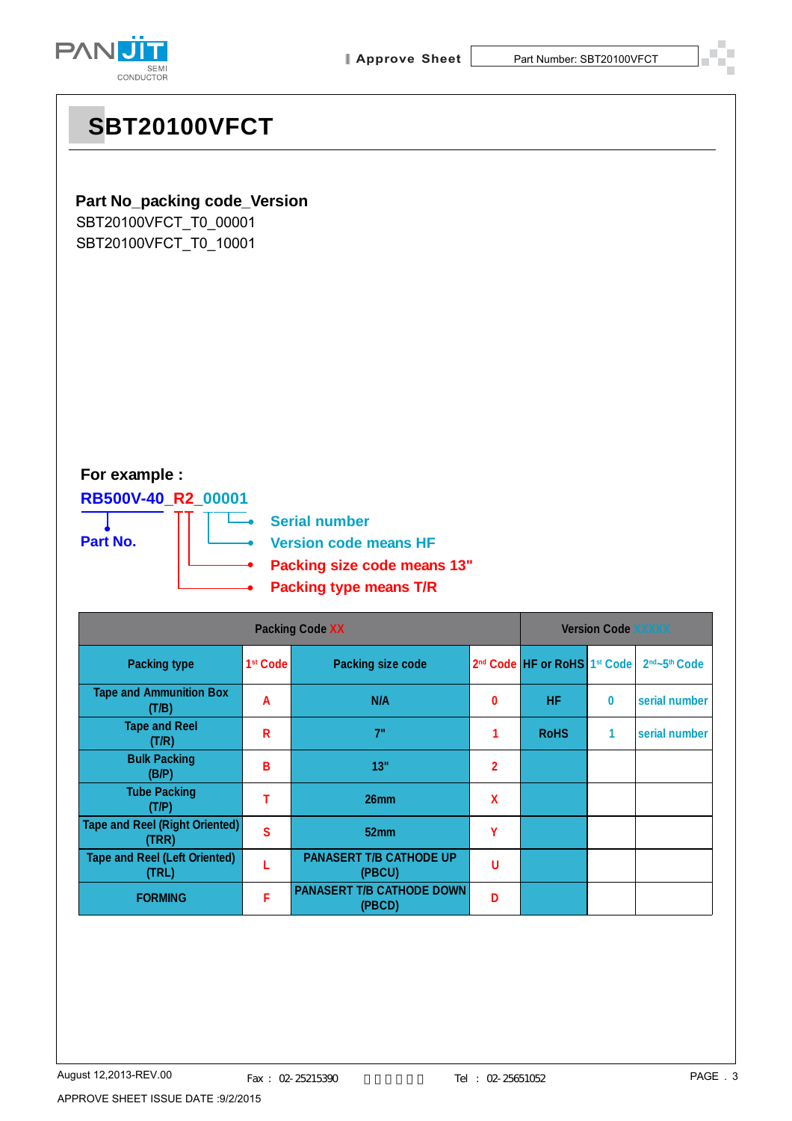



## **SBT20100VFCT**

### **Part No\_packing code\_Version**

SBT20100VFCT\_T0\_00001 SBT20100VFCT\_T0\_10001

### **For example :**

**RB500V-40\_R2\_00001**

**Part No.**

n. **Serial number**

**Version code means HF**

- **Packing size code means 13"**
- **Packing type means T/R**

|                                                | <b>Version Code XXXXX</b> |                                            |              |                                                      |          |                                       |
|------------------------------------------------|---------------------------|--------------------------------------------|--------------|------------------------------------------------------|----------|---------------------------------------|
| <b>Packing type</b>                            | 1 <sup>st</sup> Code      | <b>Packing size code</b>                   |              | 2 <sup>nd</sup> Code HF or RoHS 1 <sup>st</sup> Code |          | 2 <sup>nd</sup> ~5 <sup>th</sup> Code |
| <b>Tape and Ammunition Box</b><br>(T/B)        | A                         | N/A                                        | $\bf{0}$     | <b>HF</b>                                            | $\bf{0}$ | serial number                         |
| <b>Tape and Reel</b><br>(T/R)                  | R                         | 7"                                         | 1            | <b>RoHS</b>                                          | 1        | serial number                         |
| <b>Bulk Packing</b><br>(B/P)                   | В                         | 13"                                        | $\mathbf{2}$ |                                                      |          |                                       |
| <b>Tube Packing</b><br>(T/P)                   |                           | 26mm                                       | X            |                                                      |          |                                       |
| <b>Tape and Reel (Right Oriented)</b><br>(TRR) | S                         | 52 <sub>mm</sub>                           | Υ            |                                                      |          |                                       |
| <b>Tape and Reel (Left Oriented)</b><br>(TRL)  |                           | <b>PANASERT T/B CATHODE UP</b><br>(PBCU)   | U            |                                                      |          |                                       |
| <b>FORMING</b>                                 | F                         | <b>PANASERT T/B CATHODE DOWN</b><br>(PBCD) | Ð            |                                                      |          |                                       |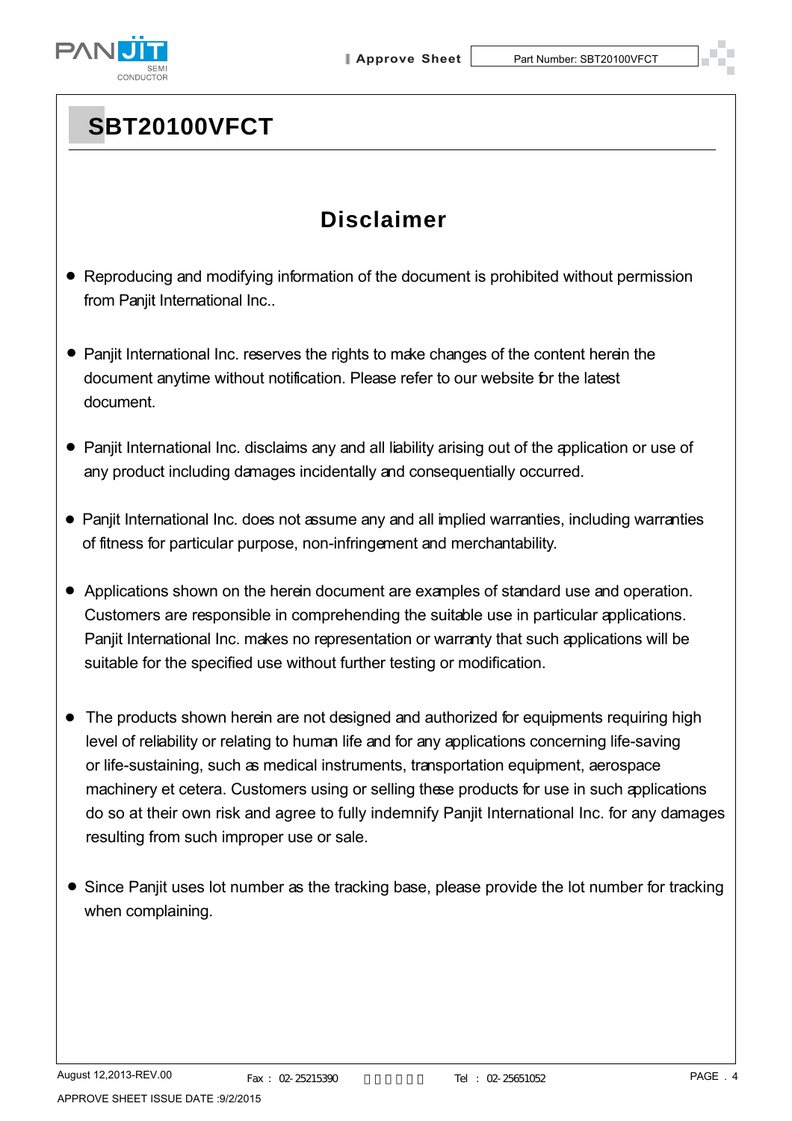

# **SBT20100VFCT**

## **Disclaimer**

- Reproducing and modifying information of the document is prohibited without permission from Panjit International Inc..
- Panjit International Inc. reserves the rights to make changes of the content herein the document anytime without notification. Please refer to our website for the latest document.
- Panjit International Inc. disclaims any and all liability arising out of the application or use of any product including damages incidentally and consequentially occurred.
- Panjit International Inc. does not assume any and all implied warranties, including warranties of fitness for particular purpose, non-infringement and merchantability.
- Applications shown on the herein document are examples of standard use and operation. Customers are responsible in comprehending the suitable use in particular applications. Panjit International Inc. makes no representation or warranty that such applications will be suitable for the specified use without further testing or modification.
- The products shown herein are not designed and authorized for equipments requiring high level of reliability or relating to human life and for any applications concerning life-saving or life-sustaining, such as medical instruments, transportation equipment, aerospace machinery et cetera. Customers using or selling these products for use in such applications do so at their own risk and agree to fully indemnify Panjit International Inc. for any damages resulting from such improper use or sale.
- Since Panjit uses lot number as the tracking base, please provide the lot number for tracking when complaining.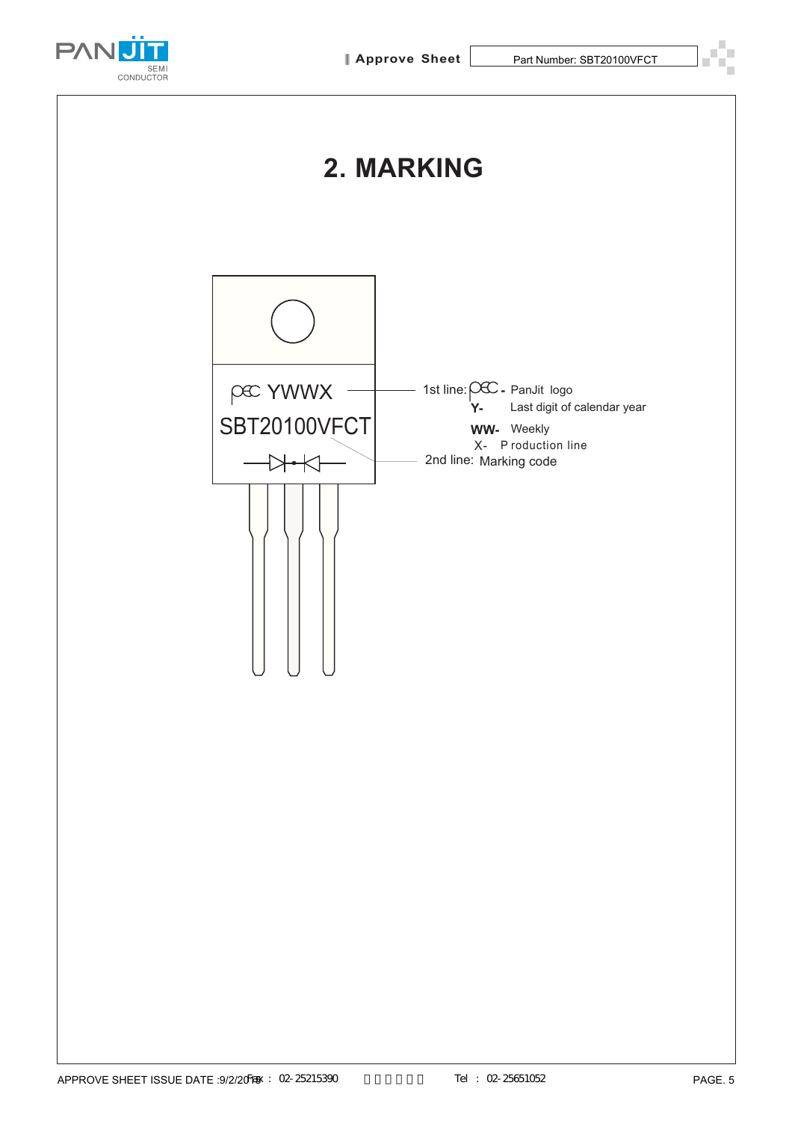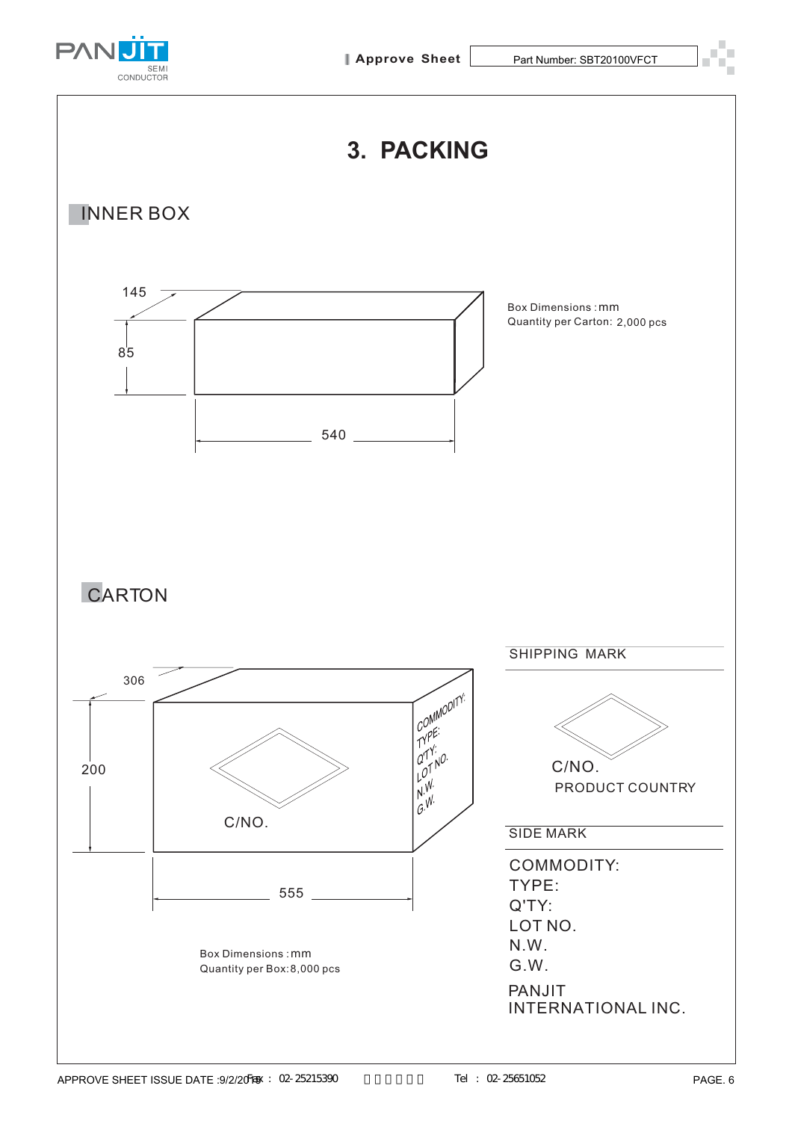



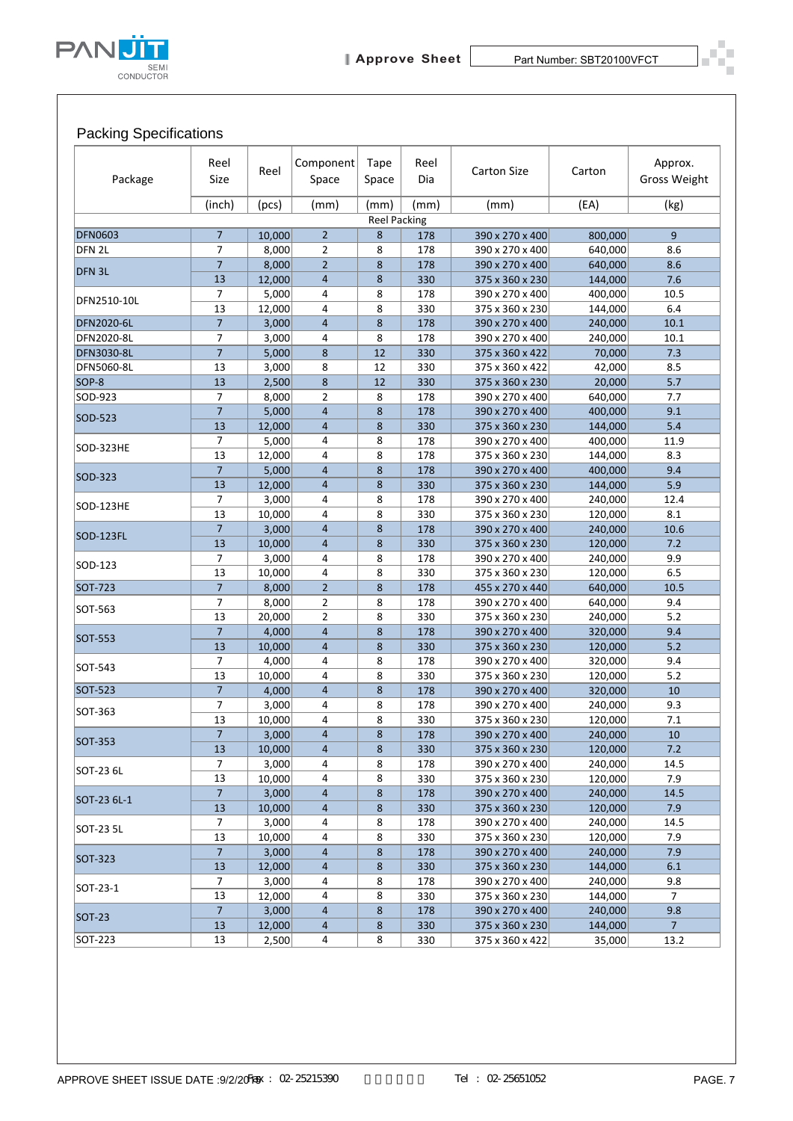

### Packing Specifications

| Package          | Reel<br>Size         | Reel            | Component<br>Space               | Tape<br>Space       | Reel<br>Dia | <b>Carton Size</b>                 | Carton             | Approx.<br>Gross Weight |
|------------------|----------------------|-----------------|----------------------------------|---------------------|-------------|------------------------------------|--------------------|-------------------------|
|                  | (inch)               | (pcs)           | (mm)                             | (mm)                | (mm)        | (mm)                               | (EA)               | (kg)                    |
|                  |                      |                 |                                  | <b>Reel Packing</b> |             |                                    |                    |                         |
| <b>DFN0603</b>   | $\overline{7}$       | 10,000          | $\overline{2}$                   | 8                   | 178         | 390 x 270 x 400                    | 800,000            | 9                       |
| DFN 2L           | 7                    | 8,000           | $\overline{2}$                   | 8                   | 178         | 390 x 270 x 400                    | 640,000            | 8.6                     |
| DFN 3L           | $\overline{7}$<br>13 | 8,000<br>12,000 | $\overline{2}$<br>$\overline{4}$ | 8<br>8              | 178<br>330  | 390 x 270 x 400                    | 640,000            | 8.6                     |
|                  | $\overline{7}$       | 5,000           | $\overline{4}$                   | 8                   | 178         | 375 x 360 x 230<br>390 x 270 x 400 | 144,000<br>400,000 | 7.6<br>10.5             |
| DFN2510-10L      | 13                   | 12,000          | $\overline{4}$                   | 8                   | 330         | 375 x 360 x 230                    | 144,000            | 6.4                     |
| DFN2020-6L       | $\overline{7}$       | 3,000           | $\overline{4}$                   | 8                   | 178         | 390 x 270 x 400                    | 240,000            | 10.1                    |
| DFN2020-8L       | 7                    | 3,000           | 4                                | 8                   | 178         | 390 x 270 x 400                    | 240,000            | 10.1                    |
| DFN3030-8L       | $\overline{7}$       | 5,000           | 8                                | 12                  | 330         | 375 x 360 x 422                    | 70,000             | 7.3                     |
| DFN5060-8L       | 13                   | 3,000           | 8                                | 12                  | 330         | 375 x 360 x 422                    | 42,000             | 8.5                     |
| SOP-8            | 13                   | 2,500           | 8                                | 12                  | 330         | 375 x 360 x 230                    | 20,000             | 5.7                     |
| SOD-923          | 7                    | 8,000           | $\overline{2}$                   | 8                   | 178         | 390 x 270 x 400                    | 640,000            | 7.7                     |
| SOD-523          | $\overline{7}$<br>13 | 5,000           | $\overline{4}$                   | 8<br>8              | 178         | 390 x 270 x 400                    | 400,000            | 9.1                     |
|                  | 7                    | 12,000<br>5,000 | $\overline{4}$<br>4              | 8                   | 330<br>178  | 375 x 360 x 230<br>390 x 270 x 400 | 144,000<br>400,000 | 5.4<br>11.9             |
| SOD-323HE        | 13                   | 12,000          | $\overline{4}$                   | 8                   | 178         | 375 x 360 x 230                    | 144,000            | 8.3                     |
|                  | $\overline{7}$       | 5,000           | $\overline{4}$                   | 8                   | 178         | 390 x 270 x 400                    | 400,000            | 9.4                     |
| SOD-323          | 13                   | 12,000          | $\overline{4}$                   | 8                   | 330         | 375 x 360 x 230                    | 144,000            | 5.9                     |
|                  | $\overline{7}$       | 3,000           | 4                                | 8                   | 178         | 390 x 270 x 400                    | 240,000            | 12.4                    |
| <b>SOD-123HE</b> | 13                   | 10,000          | 4                                | 8                   | 330         | 375 x 360 x 230                    | 120,000            | 8.1                     |
| SOD-123FL        | $\overline{7}$       | 3,000           | $\overline{4}$                   | 8                   | 178         | 390 x 270 x 400                    | 240,000            | 10.6                    |
|                  | 13                   | 10,000          | $\overline{4}$                   | 8                   | 330         | 375 x 360 x 230                    | 120,000            | 7.2                     |
| SOD-123          | $\overline{7}$       | 3,000           | 4                                | 8                   | 178         | 390 x 270 x 400                    | 240,000            | 9.9                     |
|                  | 13                   | 10,000          | $\overline{4}$                   | 8                   | 330         | 375 x 360 x 230                    | 120,000            | 6.5                     |
| SOT-723          | $\overline{7}$<br>7  | 8,000<br>8,000  | $\overline{2}$<br>$\overline{2}$ | 8<br>8              | 178<br>178  | 455 x 270 x 440<br>390 x 270 x 400 | 640,000<br>640,000 | 10.5<br>9.4             |
| SOT-563          | 13                   | 20,000          | $\overline{2}$                   | 8                   | 330         | 375 x 360 x 230                    | 240,000            | 5.2                     |
|                  | $\overline{7}$       | 4,000           | $\overline{4}$                   | 8                   | 178         | 390 x 270 x 400                    | 320,000            | 9.4                     |
| SOT-553          | 13                   | 10,000          | $\overline{4}$                   | 8                   | 330         | 375 x 360 x 230                    | 120,000            | 5.2                     |
| SOT-543          | 7                    | 4,000           | 4                                | 8                   | 178         | 390 x 270 x 400                    | 320,000            | 9.4                     |
|                  | 13                   | 10,000          | 4                                | 8                   | 330         | 375 x 360 x 230                    | 120,000            | 5.2                     |
| SOT-523          | $\overline{7}$       | 4,000           | $\overline{4}$                   | 8                   | 178         | 390 x 270 x 400                    | 320,000            | 10                      |
| SOT-363          | 7                    | 3,000           | 4                                | 8                   | 178         | 390 x 270 x 400                    | 240,000            | 9.3                     |
|                  | 13                   | 10,000          | 4                                | 8                   | 330         | 375 x 360 x 230                    | 120,000            | 7.1                     |
| SOT-353          | $\overline{7}$       | 3,000           | 4                                | 8                   | 178         | 390 x 270 x 400<br>375 x 360 x 230 | 240,000<br>120,000 | 10                      |
|                  | 13<br>7              | 10,000<br>3,000 | 4<br>4                           | 8<br>8              | 330<br>178  | 390 x 270 x 400                    | 240,000            | 7.2<br>14.5             |
| SOT-23 6L        | 13                   | 10,000          | 4                                | 8                   | 330         | 375 x 360 x 230                    | 120,000            | 7.9                     |
|                  | $\overline{7}$       | 3,000           | $\overline{4}$                   | 8                   | 178         | 390 x 270 x 400                    | 240,000            | 14.5                    |
| SOT-23 6L-1      | 13                   | 10,000          | 4                                | 8                   | 330         | 375 x 360 x 230                    | 120,000            | 7.9                     |
| SOT-23 5L        | 7                    | 3,000           | 4                                | 8                   | 178         | 390 x 270 x 400                    | 240,000            | 14.5                    |
|                  | 13                   | 10,000          | 4                                | 8                   | 330         | 375 x 360 x 230                    | 120,000            | 7.9                     |
| SOT-323          | $\overline{7}$       | 3,000           | $\overline{4}$                   | 8                   | 178         | 390 x 270 x 400                    | 240,000            | 7.9                     |
|                  | 13                   | 12,000          | 4                                | 8                   | 330         | 375 x 360 x 230                    | 144,000            | 6.1                     |
| SOT-23-1         | 7                    | 3,000           | 4                                | 8                   | 178         | 390 x 270 x 400                    | 240,000            | 9.8                     |
|                  | 13<br>$\overline{7}$ | 12,000<br>3,000 | 4<br>4                           | 8<br>8              | 330<br>178  | 375 x 360 x 230<br>390 x 270 x 400 | 144,000<br>240,000 | 7<br>9.8                |
| <b>SOT-23</b>    | 13                   | 12,000          | 4                                | 8                   | 330         | 375 x 360 x 230                    | 144,000            | $\overline{7}$          |
|                  | 13                   | 2,500           | 4                                | 8                   | 330         | 375 x 360 x 422                    | 35,000             | 13.2                    |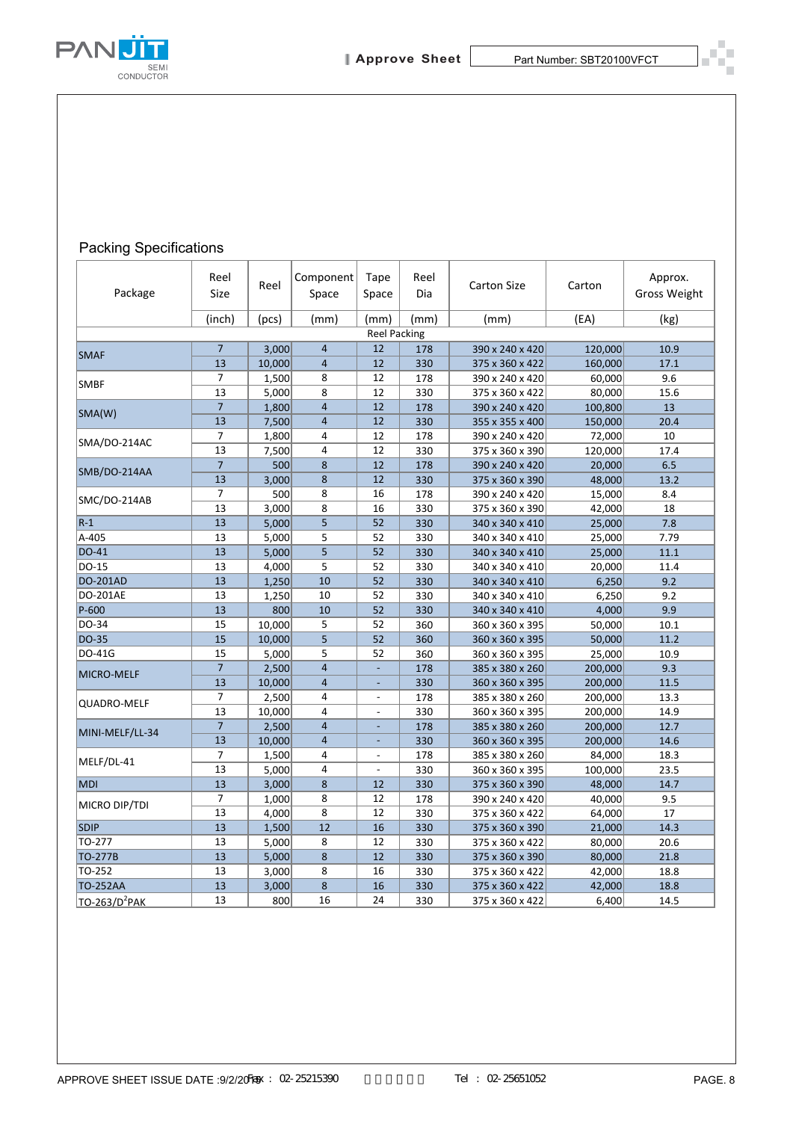

#### Packing Specifications

| Reel<br>Size            | Reel                                                                                                                                                   | Component                                 | Tape                                                                                                                                                                                                                                                                                                                          | Reel<br>Dia                                                                                                                          | <b>Carton Size</b>                                                                                                                                                     | Carton                                                                                                                                                                                                                                                                                                                                                                                                      | Approx.<br><b>Gross Weight</b>                                                                                                                                                                                      |
|-------------------------|--------------------------------------------------------------------------------------------------------------------------------------------------------|-------------------------------------------|-------------------------------------------------------------------------------------------------------------------------------------------------------------------------------------------------------------------------------------------------------------------------------------------------------------------------------|--------------------------------------------------------------------------------------------------------------------------------------|------------------------------------------------------------------------------------------------------------------------------------------------------------------------|-------------------------------------------------------------------------------------------------------------------------------------------------------------------------------------------------------------------------------------------------------------------------------------------------------------------------------------------------------------------------------------------------------------|---------------------------------------------------------------------------------------------------------------------------------------------------------------------------------------------------------------------|
| (inch)                  | (pcs)                                                                                                                                                  | Space<br>(mm)                             | Space<br>(mm)                                                                                                                                                                                                                                                                                                                 | (mm)                                                                                                                                 | (mm)                                                                                                                                                                   | (EA)                                                                                                                                                                                                                                                                                                                                                                                                        | (kg)                                                                                                                                                                                                                |
|                         |                                                                                                                                                        |                                           |                                                                                                                                                                                                                                                                                                                               |                                                                                                                                      |                                                                                                                                                                        |                                                                                                                                                                                                                                                                                                                                                                                                             |                                                                                                                                                                                                                     |
| $\overline{7}$          |                                                                                                                                                        | $\overline{4}$                            |                                                                                                                                                                                                                                                                                                                               | 178                                                                                                                                  |                                                                                                                                                                        |                                                                                                                                                                                                                                                                                                                                                                                                             | 10.9                                                                                                                                                                                                                |
|                         |                                                                                                                                                        |                                           |                                                                                                                                                                                                                                                                                                                               |                                                                                                                                      |                                                                                                                                                                        |                                                                                                                                                                                                                                                                                                                                                                                                             | 17.1<br>9.6                                                                                                                                                                                                         |
| 13                      | 5,000                                                                                                                                                  | 8                                         | 12                                                                                                                                                                                                                                                                                                                            | 330                                                                                                                                  | 375 x 360 x 422                                                                                                                                                        | 80,000                                                                                                                                                                                                                                                                                                                                                                                                      | 15.6                                                                                                                                                                                                                |
| $\overline{7}$          | 1,800                                                                                                                                                  | $\overline{4}$                            | 12                                                                                                                                                                                                                                                                                                                            | 178                                                                                                                                  | 390 x 240 x 420                                                                                                                                                        | 100,800                                                                                                                                                                                                                                                                                                                                                                                                     | 13                                                                                                                                                                                                                  |
| 13                      | 7,500                                                                                                                                                  | $\overline{4}$                            | 12                                                                                                                                                                                                                                                                                                                            | 330                                                                                                                                  | 355 x 355 x 400                                                                                                                                                        | 150,000                                                                                                                                                                                                                                                                                                                                                                                                     | 20.4                                                                                                                                                                                                                |
| 7                       | 1,800                                                                                                                                                  | 4                                         | 12                                                                                                                                                                                                                                                                                                                            | 178                                                                                                                                  | 390 x 240 x 420                                                                                                                                                        | 72,000                                                                                                                                                                                                                                                                                                                                                                                                      | 10                                                                                                                                                                                                                  |
|                         |                                                                                                                                                        |                                           |                                                                                                                                                                                                                                                                                                                               |                                                                                                                                      |                                                                                                                                                                        |                                                                                                                                                                                                                                                                                                                                                                                                             | 17.4<br>6.5                                                                                                                                                                                                         |
|                         |                                                                                                                                                        |                                           | 12                                                                                                                                                                                                                                                                                                                            |                                                                                                                                      |                                                                                                                                                                        |                                                                                                                                                                                                                                                                                                                                                                                                             | 13.2                                                                                                                                                                                                                |
| $\overline{7}$          | 500                                                                                                                                                    | 8                                         | 16                                                                                                                                                                                                                                                                                                                            | 178                                                                                                                                  | 390 x 240 x 420                                                                                                                                                        | 15,000                                                                                                                                                                                                                                                                                                                                                                                                      | 8.4                                                                                                                                                                                                                 |
| 13                      | 3,000                                                                                                                                                  | 8                                         | 16                                                                                                                                                                                                                                                                                                                            | 330                                                                                                                                  | 375 x 360 x 390                                                                                                                                                        | 42,000                                                                                                                                                                                                                                                                                                                                                                                                      | 18                                                                                                                                                                                                                  |
|                         | 5,000                                                                                                                                                  |                                           |                                                                                                                                                                                                                                                                                                                               |                                                                                                                                      | 340 x 340 x 410                                                                                                                                                        | 25,000                                                                                                                                                                                                                                                                                                                                                                                                      | 7.8                                                                                                                                                                                                                 |
|                         |                                                                                                                                                        |                                           |                                                                                                                                                                                                                                                                                                                               |                                                                                                                                      |                                                                                                                                                                        |                                                                                                                                                                                                                                                                                                                                                                                                             | 7.79                                                                                                                                                                                                                |
|                         |                                                                                                                                                        |                                           |                                                                                                                                                                                                                                                                                                                               |                                                                                                                                      |                                                                                                                                                                        |                                                                                                                                                                                                                                                                                                                                                                                                             | 11.1<br>11.4                                                                                                                                                                                                        |
|                         |                                                                                                                                                        |                                           |                                                                                                                                                                                                                                                                                                                               |                                                                                                                                      |                                                                                                                                                                        |                                                                                                                                                                                                                                                                                                                                                                                                             | 9.2                                                                                                                                                                                                                 |
| 13                      |                                                                                                                                                        | 10                                        | 52                                                                                                                                                                                                                                                                                                                            | 330                                                                                                                                  | 340 x 340 x 410                                                                                                                                                        |                                                                                                                                                                                                                                                                                                                                                                                                             | 9.2                                                                                                                                                                                                                 |
| 13                      | 800                                                                                                                                                    | 10                                        | 52                                                                                                                                                                                                                                                                                                                            | 330                                                                                                                                  | 340 x 340 x 410                                                                                                                                                        | 4,000                                                                                                                                                                                                                                                                                                                                                                                                       | 9.9                                                                                                                                                                                                                 |
| 15                      | 10,000                                                                                                                                                 | 5                                         | 52                                                                                                                                                                                                                                                                                                                            | 360                                                                                                                                  | 360 x 360 x 395                                                                                                                                                        | 50,000                                                                                                                                                                                                                                                                                                                                                                                                      | 10.1                                                                                                                                                                                                                |
|                         |                                                                                                                                                        |                                           |                                                                                                                                                                                                                                                                                                                               |                                                                                                                                      | 360 x 360 x 395                                                                                                                                                        | 50,000                                                                                                                                                                                                                                                                                                                                                                                                      | 11.2                                                                                                                                                                                                                |
|                         |                                                                                                                                                        |                                           |                                                                                                                                                                                                                                                                                                                               |                                                                                                                                      |                                                                                                                                                                        |                                                                                                                                                                                                                                                                                                                                                                                                             | 10.9<br>9.3                                                                                                                                                                                                         |
|                         |                                                                                                                                                        |                                           |                                                                                                                                                                                                                                                                                                                               |                                                                                                                                      |                                                                                                                                                                        |                                                                                                                                                                                                                                                                                                                                                                                                             | 11.5                                                                                                                                                                                                                |
| 7                       |                                                                                                                                                        | 4                                         | $\overline{a}$                                                                                                                                                                                                                                                                                                                |                                                                                                                                      |                                                                                                                                                                        |                                                                                                                                                                                                                                                                                                                                                                                                             | 13.3                                                                                                                                                                                                                |
| 13                      | 10,000                                                                                                                                                 | 4                                         | $\overline{a}$                                                                                                                                                                                                                                                                                                                | 330                                                                                                                                  |                                                                                                                                                                        | 200,000                                                                                                                                                                                                                                                                                                                                                                                                     | 14.9                                                                                                                                                                                                                |
| $\overline{\mathbf{7}}$ |                                                                                                                                                        | $\overline{4}$                            |                                                                                                                                                                                                                                                                                                                               | 178                                                                                                                                  | 385 x 380 x 260                                                                                                                                                        | 200,000                                                                                                                                                                                                                                                                                                                                                                                                     | 12.7                                                                                                                                                                                                                |
| 13                      | 10,000                                                                                                                                                 | 4                                         | $\overline{\phantom{a}}$                                                                                                                                                                                                                                                                                                      | 330                                                                                                                                  | 360 x 360 x 395                                                                                                                                                        | 200,000                                                                                                                                                                                                                                                                                                                                                                                                     | 14.6                                                                                                                                                                                                                |
|                         |                                                                                                                                                        | 4                                         | $\overline{\phantom{a}}$                                                                                                                                                                                                                                                                                                      |                                                                                                                                      |                                                                                                                                                                        |                                                                                                                                                                                                                                                                                                                                                                                                             | 18.3                                                                                                                                                                                                                |
|                         |                                                                                                                                                        |                                           | $\overline{\phantom{a}}$                                                                                                                                                                                                                                                                                                      |                                                                                                                                      |                                                                                                                                                                        |                                                                                                                                                                                                                                                                                                                                                                                                             | 23.5                                                                                                                                                                                                                |
|                         |                                                                                                                                                        |                                           |                                                                                                                                                                                                                                                                                                                               |                                                                                                                                      |                                                                                                                                                                        |                                                                                                                                                                                                                                                                                                                                                                                                             | 14.7<br>9.5                                                                                                                                                                                                         |
| 13                      |                                                                                                                                                        | 8                                         | 12                                                                                                                                                                                                                                                                                                                            | 330                                                                                                                                  | 375 x 360 x 422                                                                                                                                                        | 64,000                                                                                                                                                                                                                                                                                                                                                                                                      | 17                                                                                                                                                                                                                  |
| 13                      |                                                                                                                                                        | 12                                        | 16                                                                                                                                                                                                                                                                                                                            | 330                                                                                                                                  | 375 x 360 x 390                                                                                                                                                        | 21,000                                                                                                                                                                                                                                                                                                                                                                                                      | 14.3                                                                                                                                                                                                                |
| 13                      |                                                                                                                                                        | 8                                         | 12                                                                                                                                                                                                                                                                                                                            | 330                                                                                                                                  | 375 x 360 x 422                                                                                                                                                        | 80,000                                                                                                                                                                                                                                                                                                                                                                                                      | 20.6                                                                                                                                                                                                                |
| 13                      |                                                                                                                                                        | 8                                         | 12                                                                                                                                                                                                                                                                                                                            | 330                                                                                                                                  | 375 x 360 x 390                                                                                                                                                        | 80,000                                                                                                                                                                                                                                                                                                                                                                                                      | 21.8                                                                                                                                                                                                                |
|                         |                                                                                                                                                        | 8                                         | 16                                                                                                                                                                                                                                                                                                                            |                                                                                                                                      |                                                                                                                                                                        |                                                                                                                                                                                                                                                                                                                                                                                                             | 18.8                                                                                                                                                                                                                |
| 13                      | 800                                                                                                                                                    | 16                                        | 24                                                                                                                                                                                                                                                                                                                            | 330                                                                                                                                  | 375 x 360 x 422                                                                                                                                                        | 6,400                                                                                                                                                                                                                                                                                                                                                                                                       | 18.8<br>14.5                                                                                                                                                                                                        |
|                         | 13<br>7<br>13<br>$\overline{7}$<br>13<br>13<br>13<br>13<br>13<br>13<br>15<br>15<br>$\overline{7}$<br>13<br>7<br>13<br>13<br>$\overline{7}$<br>13<br>13 | 10,000<br>500<br>3,000<br>5,000<br>10,000 | 3,000<br>$\overline{4}$<br>1,500<br>8<br>4<br>7,500<br>$\bf 8$<br>$\bf 8$<br>5<br>5<br>5<br>5,000<br>5<br>4,000<br>10<br>1,250<br>1,250<br>5<br>5<br>5,000<br>2,500<br>4<br>10,000<br>4<br>2,500<br>2,500<br>1,500<br>5,000<br>4<br>8<br>3,000<br>8<br>1,000<br>4,000<br>1,500<br>5,000<br>5,000<br>3,000<br>$\bf 8$<br>3,000 | 12<br>12<br>12<br>12<br>12<br>52<br>52<br>52<br>52<br>52<br>52<br>52<br>$\blacksquare$<br>$\overline{\phantom{a}}$<br>12<br>12<br>16 | <b>Reel Packing</b><br>330<br>178<br>330<br>178<br>330<br>330<br>330<br>330<br>330<br>330<br>360<br>360<br>178<br>330<br>178<br>178<br>330<br>330<br>178<br>330<br>330 | 390 x 240 x 420<br>375 x 360 x 422<br>390 x 240 x 420<br>375 x 360 x 390<br>390 x 240 x 420<br>375 x 360 x 390<br>340 x 340 x 410<br>340 x 340 x 410<br>340 x 340 x 410<br>340 x 340 x 410<br>360 x 360 x 395<br>385 x 380 x 260<br>360 x 360 x 395<br>385 x 380 x 260<br>360 x 360 x 395<br>385 x 380 x 260<br>360 x 360 x 395<br>375 x 360 x 390<br>390 x 240 x 420<br>375 x 360 x 422<br>375 x 360 x 422 | 120,000<br>160,000<br>60,000<br>120,000<br>20,000<br>48,000<br>25,000<br>25,000<br>20,000<br>6,250<br>6,250<br>25,000<br>200,000<br>200,000<br>200,000<br>84,000<br>100,000<br>48,000<br>40,000<br>42,000<br>42,000 |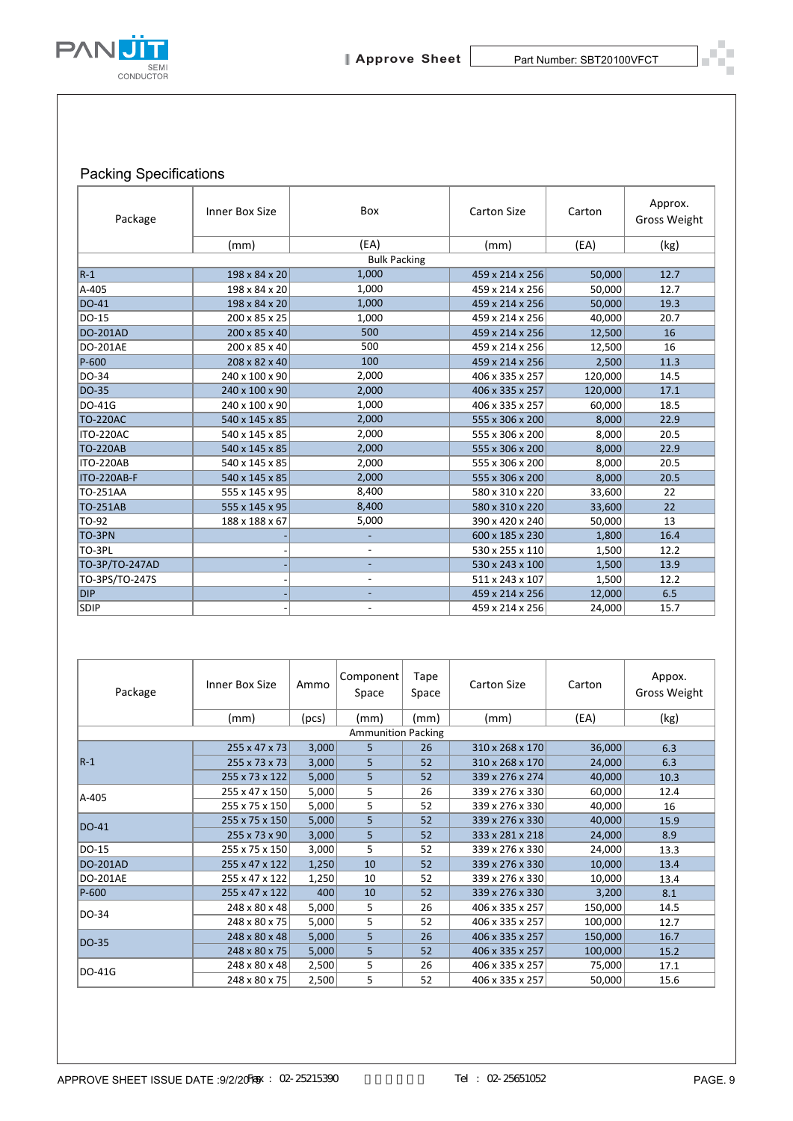

### Packing Specifications

| Package                                                                                    | Inner Box Size                   |                          | Box                          |                 | <b>Carton Size</b>                 | Carton            | Approx.<br>Gross Weight |
|--------------------------------------------------------------------------------------------|----------------------------------|--------------------------|------------------------------|-----------------|------------------------------------|-------------------|-------------------------|
|                                                                                            | (mm)                             |                          | (EA)                         |                 | (mm)                               | (EA)              | (kg)                    |
| $R-1$                                                                                      | 198 x 84 x 20                    |                          | <b>Bulk Packing</b><br>1,000 |                 |                                    | 50,000            | 12.7                    |
| A-405                                                                                      | 198 x 84 x 20                    |                          | 1,000                        |                 | 459 x 214 x 256<br>459 x 214 x 256 | 50,000            | 12.7                    |
| DO-41                                                                                      | 198 x 84 x 20                    |                          | 1,000                        |                 | 459 x 214 x 256                    | 50,000            | 19.3                    |
| DO-15                                                                                      | 200 x 85 x 25                    |                          | 1,000                        |                 | 459 x 214 x 256                    | 40,000            | 20.7                    |
| <b>DO-201AD</b>                                                                            | 200 x 85 x 40                    |                          | 500                          |                 | 459 x 214 x 256                    | 12,500            | 16                      |
| DO-201AE                                                                                   | 200 x 85 x 40                    |                          | 500                          |                 | 459 x 214 x 256                    | 12,500            | 16                      |
| P-600                                                                                      | 208 x 82 x 40                    |                          | 100                          |                 | 459 x 214 x 256                    | 2,500             | 11.3                    |
| DO-34                                                                                      | 240 x 100 x 90                   |                          | 2,000                        |                 | 406 x 335 x 257                    | 120,000           | 14.5                    |
| DO-35                                                                                      | 240 x 100 x 90                   |                          | 2,000<br>1,000               |                 | 406 x 335 x 257                    | 120,000           | 17.1                    |
| DO-41G<br><b>TO-220AC</b>                                                                  | 240 x 100 x 90<br>540 x 145 x 85 |                          | 2,000                        |                 | 406 x 335 x 257<br>555 x 306 x 200 | 60,000<br>8,000   | 18.5<br>22.9            |
| ITO-220AC                                                                                  | 540 x 145 x 85                   |                          | 2,000                        |                 | 555 x 306 x 200                    | 8,000             | 20.5                    |
| <b>TO-220AB</b>                                                                            | 540 x 145 x 85                   |                          | 2,000                        |                 | 555 x 306 x 200                    | 8,000             | 22.9                    |
| ITO-220AB                                                                                  | 540 x 145 x 85                   | 2,000                    |                              | 555 x 306 x 200 | 8,000                              | 20.5              |                         |
| ITO-220AB-F                                                                                | 540 x 145 x 85                   | 2,000                    |                              | 555 x 306 x 200 | 8,000                              | 20.5              |                         |
| TO-251AA                                                                                   | 555 x 145 x 95                   | 8,400                    |                              |                 | 580 x 310 x 220                    | 33,600            | 22                      |
| TO-251AB                                                                                   | 555 x 145 x 95                   | 8,400                    |                              |                 | 580 x 310 x 220                    | 33,600            | 22                      |
| TO-92                                                                                      | 188 x 188 x 67                   | 5,000                    |                              |                 | 390 x 420 x 240                    | 50,000            | 13                      |
| TO-3PN<br>TO-3PL                                                                           |                                  | L,<br>$\overline{a}$     |                              |                 | 600 x 185 x 230<br>530 x 255 x 110 | 1,800<br>1,500    | 16.4<br>12.2            |
| TO-3P/TO-247AD                                                                             |                                  | $\overline{a}$           |                              |                 | 530 x 243 x 100                    | 1,500             | 13.9                    |
| TO-3PS/TO-247S                                                                             |                                  | $\overline{\phantom{a}}$ |                              |                 | 511 x 243 x 107                    | 1,500             | 12.2                    |
| <b>DIP</b>                                                                                 |                                  |                          |                              | 459 x 214 x 256 | 12,000                             | 6.5               |                         |
| <b>SDIP</b>                                                                                |                                  |                          |                              |                 | 459 x 214 x 256                    | 24,000            | 15.7                    |
| Package                                                                                    | Inner Box Size                   | Ammo                     | Component<br>Space           | Tape<br>Space   | Carton Size                        | Carton            | Appox.<br>Gross Weight  |
|                                                                                            | (mm)                             | (pcs)                    | (mm)                         | (mm)            | (mm)                               | (EA)              | (kg)                    |
|                                                                                            |                                  |                          | <b>Ammunition Packing</b>    |                 |                                    |                   |                         |
|                                                                                            | 255 x 47 x 73                    | 3,000                    | 5                            | 26              | 310 x 268 x 170                    | 36,000            | 6.3                     |
|                                                                                            |                                  | 3,000                    | 5                            | 52              | 310 x 268 x 170                    | 24,000<br>40,000  | 6.3                     |
|                                                                                            | 255 x 73 x 73                    |                          |                              |                 |                                    |                   | 10.3                    |
|                                                                                            | 255 x 73 x 122                   | 5,000                    | 5                            | 52              | 339 x 276 x 274                    |                   |                         |
|                                                                                            | 255 x 47 x 150                   | 5,000                    | 5                            | 26              | 339 x 276 x 330                    | 60,000            | 12.4                    |
|                                                                                            | 255 x 75 x 150<br>255 x 75 x 150 | 5,000<br>5,000           | 5<br>5                       | 52<br>52        | 339 x 276 x 330<br>339 x 276 x 330 | 40,000<br>40,000  | 16<br>15.9              |
|                                                                                            | 255 x 73 x 90                    | 3,000                    | 5                            | 52              | 333 x 281 x 218                    | 24,000            | 8.9                     |
|                                                                                            | 255 x 75 x 150                   | 3,000                    | 5                            | 52              | 339 x 276 x 330                    | 24,000            | 13.3                    |
|                                                                                            | 255 x 47 x 122                   | 1,250                    | 10                           | 52              | 339 x 276 x 330                    | 10,000            | 13.4                    |
|                                                                                            | 255 x 47 x 122                   | 1,250                    | 10                           | 52              | 339 x 276 x 330                    | 10,000            | 13.4                    |
|                                                                                            | 255 x 47 x 122                   | 400                      | 10                           | 52              | 339 x 276 x 330                    | 3,200             | 8.1                     |
|                                                                                            | 248 x 80 x 48                    | 5,000                    | 5                            | 26              | 406 x 335 x 257                    | 150,000           | 14.5                    |
|                                                                                            | 248 x 80 x 75                    | 5,000                    | 5                            | 52              | 406 x 335 x 257                    | 100,000           | 12.7                    |
| $R-1$<br>A-405<br>DO-41<br>DO-15<br><b>DO-201AD</b><br>DO-201AE<br>P-600<br>DO-34<br>DO-35 | 248 x 80 x 48                    | 5,000                    | 5                            | 26              | 406 x 335 x 257                    | 150,000           | 16.7                    |
| DO-41G                                                                                     | 248 x 80 x 75<br>248 x 80 x 48   | 5,000<br>2,500           | 5<br>5                       | 52<br>26        | 406 x 335 x 257<br>406 x 335 x 257 | 100,000<br>75,000 | 15.2<br>17.1            |

| Package                   | Inner Box Size            | Ammo  | Component<br>Space | Tape<br>Space | <b>Carton Size</b> | Carton  | Appox.<br><b>Gross Weight</b> |
|---------------------------|---------------------------|-------|--------------------|---------------|--------------------|---------|-------------------------------|
|                           | (mm)                      | (pcs) | (mm)               | (mm)          | (mm)               | (EA)    | (kg)                          |
| <b>Ammunition Packing</b> |                           |       |                    |               |                    |         |                               |
|                           | $255 \times 47 \times 73$ | 3,000 | 5                  | 26            | 310 x 268 x 170    | 36,000  | 6.3                           |
| $ R-1 $                   | 255 x 73 x 73             | 3,000 | 5                  | 52            | 310 x 268 x 170    | 24,000  | 6.3                           |
|                           | 255 x 73 x 122            | 5,000 | 5                  | 52            | 339 x 276 x 274    | 40,000  | 10.3                          |
| A-405                     | 255 x 47 x 150            | 5,000 | 5                  | 26            | 339 x 276 x 330    | 60,000  | 12.4                          |
|                           | 255 x 75 x 150            | 5,000 | 5                  | 52            | 339 x 276 x 330    | 40,000  | 16                            |
| DO-41                     | 255 x 75 x 150            | 5,000 | 5                  | 52            | 339 x 276 x 330    | 40,000  | 15.9                          |
|                           | 255 x 73 x 90             | 3,000 | 5                  | 52            | 333 x 281 x 218    | 24,000  | 8.9                           |
| DO-15                     | 255 x 75 x 150            | 3,000 | 5                  | 52            | 339 x 276 x 330    | 24,000  | 13.3                          |
| <b>DO-201AD</b>           | 255 x 47 x 122            | 1,250 | 10                 | 52            | 339 x 276 x 330    | 10,000  | 13.4                          |
| <b>DO-201AE</b>           | 255 x 47 x 122            | 1,250 | 10                 | 52            | 339 x 276 x 330    | 10,000  | 13.4                          |
| P-600                     | 255 x 47 x 122            | 400   | 10                 | 52            | 339 x 276 x 330    | 3,200   | 8.1                           |
| DO-34                     | 248 x 80 x 48             | 5,000 | 5                  | 26            | 406 x 335 x 257    | 150,000 | 14.5                          |
|                           | 248 x 80 x 75             | 5,000 | 5                  | 52            | 406 x 335 x 257    | 100,000 | 12.7                          |
| DO-35                     | 248 x 80 x 48             | 5,000 | 5                  | 26            | 406 x 335 x 257    | 150,000 | 16.7                          |
|                           | 248 x 80 x 75             | 5,000 | 5                  | 52            | 406 x 335 x 257    | 100,000 | 15.2                          |
| <b>DO-41G</b>             | 248 x 80 x 48             | 2,500 | 5                  | 26            | 406 x 335 x 257    | 75,000  | 17.1                          |
|                           | 248 x 80 x 75             | 2,500 | 5                  | 52            | 406 x 335 x 257    | 50,000  | 15.6                          |